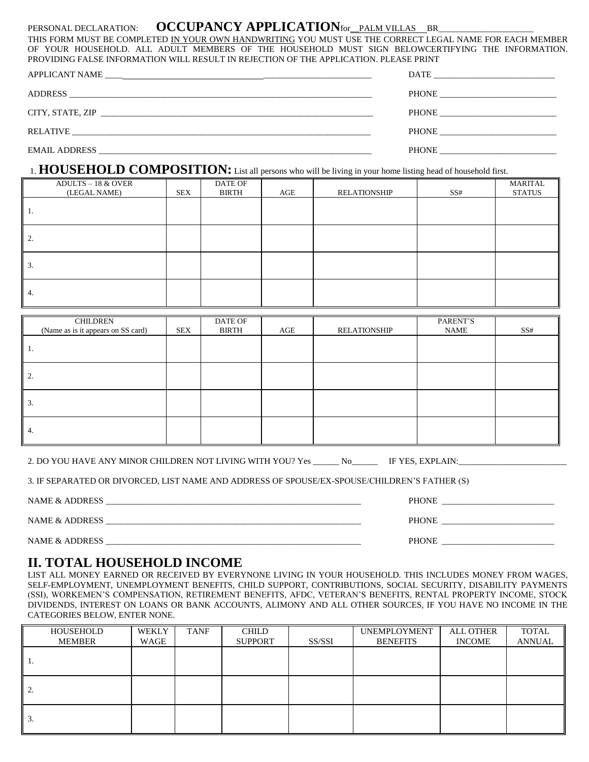## PERSONAL DECLARATION: **OCCUPANCY APPLICATION** for PALM VILLAS BR

THIS FORM MUST BE COMPLETED IN YOUR OWN HANDWRITING YOU MUST USE THE CORRECT LEGAL NAME FOR EACH MEMBER OF YOUR HOUSEHOLD. ALL ADULT MEMBERS OF THE HOUSEHOLD MUST SIGN BELOWCERTIFYING THE INFORMATION. PROVIDING FALSE INFORMATION WILL RESULT IN REJECTION OF THE APPLICATION. PLEASE PRINT

| PHONE |
|-------|
|       |

## 1. **HOUSEHOLD COMPOSITION:** List all persons who will be living in your home listing head of household first.

| <b>ADULTS - 18 &amp; OVER</b><br>(LEGAL NAME) | <b>SEX</b> | DATE OF<br>BIRTH | AGE | RELATIONSHIP | SS# | MARITAL<br><b>STATUS</b> |
|-----------------------------------------------|------------|------------------|-----|--------------|-----|--------------------------|
| -1.                                           |            |                  |     |              |     |                          |
| $\overline{2}$ .                              |            |                  |     |              |     |                          |
| 3.                                            |            |                  |     |              |     |                          |
| -4.                                           |            |                  |     |              |     |                          |

| CHILDREN<br>(Name as is it appears on SS card) | <b>SEX</b> | DATE OF<br><b>BIRTH</b> | AGE | <b>RELATIONSHIP</b> | PARENT'S<br><b>NAME</b> | SS# |
|------------------------------------------------|------------|-------------------------|-----|---------------------|-------------------------|-----|
|                                                |            |                         |     |                     |                         |     |
| -1.                                            |            |                         |     |                     |                         |     |
| 2.                                             |            |                         |     |                     |                         |     |
| 3.                                             |            |                         |     |                     |                         |     |
| 4.                                             |            |                         |     |                     |                         |     |

| 2. DO YOU HAVE ANY MINOR CHILDREN NOT LIVING WITH YOU? Yes |  |  | No | IF YES, EXPLAIN: |
|------------------------------------------------------------|--|--|----|------------------|
|------------------------------------------------------------|--|--|----|------------------|

3. IF SEPARATED OR DIVORCED, LIST NAME AND ADDRESS OF SPOUSE/EX-SPOUSE/CHILDREN'S FATHER (S)

NAME & ADDRESS \_\_\_\_\_\_\_\_\_\_\_\_\_\_\_\_\_\_\_\_\_\_\_\_\_\_\_\_\_\_\_\_\_\_\_\_\_\_\_\_\_\_\_\_\_\_\_\_\_\_\_\_\_\_\_\_\_\_\_ PHONE \_\_\_\_\_\_\_\_\_\_\_\_\_\_\_\_\_\_\_\_\_\_\_\_\_\_

NAME & ADDRESS \_\_\_\_\_\_\_\_\_\_\_\_\_\_\_\_\_\_\_\_\_\_\_\_\_\_\_\_\_\_\_\_\_\_\_\_\_\_\_\_\_\_\_\_\_\_\_\_\_\_\_\_\_\_\_\_\_\_\_ PHONE \_\_\_\_\_\_\_\_\_\_\_\_\_\_\_\_\_\_\_\_\_\_\_\_\_\_ NAME & ADDRESS \_\_\_\_\_\_\_\_\_\_\_\_\_\_\_\_\_\_\_\_\_\_\_\_\_\_\_\_\_\_\_\_\_\_\_\_\_\_\_\_\_\_\_\_\_\_\_\_\_\_\_\_\_\_\_\_\_\_\_ PHONE \_\_\_\_\_\_\_\_\_\_\_\_\_\_\_\_\_\_\_\_\_\_\_\_\_\_

**II. TOTAL HOUSEHOLD INCOME**

LIST ALL MONEY EARNED OR RECEIVED BY EVERYNONE LIVING IN YOUR HOUSEHOLD. THIS INCLUDES MONEY FROM WAGES, SELF-EMPLOYMENT, UNEMPLOYMENT BENEFITS, CHILD SUPPORT, CONTRIBUTIONS, SOCIAL SECURITY, DISABILITY PAYMENTS (SSI), WORKEMEN'S COMPENSATION, RETIREMENT BENEFITS, AFDC, VETERAN'S BENEFITS, RENTAL PROPERTY INCOME, STOCK DIVIDENDS, INTEREST ON LOANS OR BANK ACCOUNTS, ALIMONY AND ALL OTHER SOURCES, IF YOU HAVE NO INCOME IN THE CATEGORIES BELOW, ENTER NONE.

| HOUSEHOLD<br>MEMBER | <b>WEKLY</b><br>WAGE | TANF | <b>CHILD</b><br><b>SUPPORT</b> | SS/SSI | <b>UNEMPLOYMENT</b><br><b>BENEFITS</b> | <b>ALL OTHER</b><br><b>INCOME</b> | TOTAL<br><b>ANNUAL</b> |
|---------------------|----------------------|------|--------------------------------|--------|----------------------------------------|-----------------------------------|------------------------|
| .,                  |                      |      |                                |        |                                        |                                   |                        |
| ٠.                  |                      |      |                                |        |                                        |                                   |                        |
| 3.                  |                      |      |                                |        |                                        |                                   |                        |